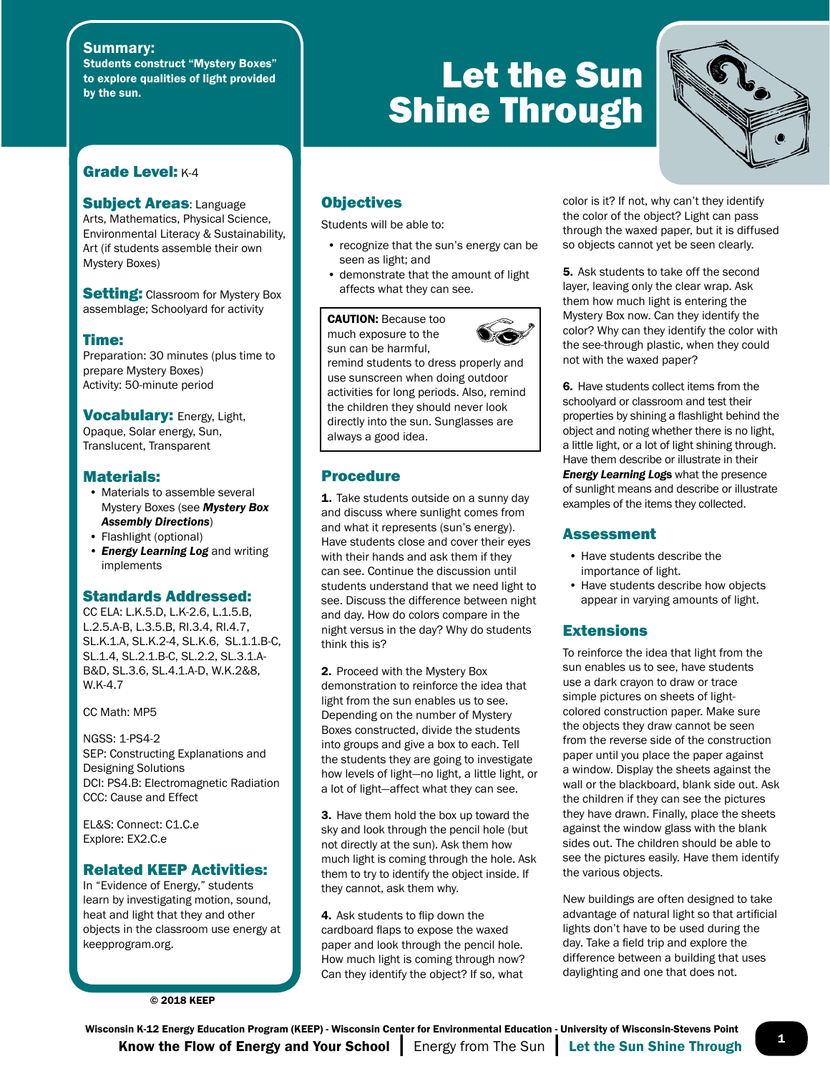#### Summary:

Students construct "Mystery Boxes" to explore qualities of light provided by the sun.

#### Grade Level: K-4

**Subject Areas: Language** Arts, Mathematics, Physical Science, Environmental Literacy & Sustainability, Art (if students assemble their own Mystery Boxes)

**Setting:** Classroom for Mystery Box assemblage; Schoolyard for activity

#### Time:

Preparation: 30 minutes (plus time to prepare Mystery Boxes) Activity: 50-minute period

**Vocabulary: Energy, Light,** Opaque, Solar energy, Sun, Translucent, Transparent

#### Materials:

- Materials to assemble several Mystery Boxes (see *Mystery Box Assembly Directions*)
- Flashlight (optional)
- *• Energy Learning Log* and writing implements

#### Standards Addressed:

CC ELA: L.K.5.D, L.K-2.6, L.1.5.B, L.2.5.A-B, L.3.5.B, RI.3.4, RI.4.7, SL.K.1.A, SL.K.2-4, SL.K.6, SL.1.1.B-C, SL.1.4, SL.2.1.B-C, SL.2.2, SL.3.1.A-B&D, SL.3.6, SL.4.1.A-D, W.K.2&8, W.K-4.7

CC Math: MP5

NGSS: 1-PS4-2 SEP: Constructing Explanations and Designing Solutions DCI: PS4.B: Electromagnetic Radiation CCC: Cause and Effect

EL&S: Connect: C1.C.e Explore: EX2.C.e

#### Related KEEP Activities:

In "Evidence of Energy," students learn by investigating motion, sound, heat and light that they and other objects in the classroom use energy at keepprogram.org.

© 2018 KEEP

## Let the Sun Shine Through



#### **Objectives**

Students will be able to:

- recognize that the sun's energy can be seen as light; and
- demonstrate that the amount of light affects what they can see.

CAUTION: Because too much exposure to the sun can be harmful,



remind students to dress properly and use sunscreen when doing outdoor activities for long periods. Also, remind the children they should never look directly into the sun. Sunglasses are always a good idea.

#### Procedure

1. Take students outside on a sunny day and discuss where sunlight comes from and what it represents (sun's energy). Have students close and cover their eyes with their hands and ask them if they can see. Continue the discussion until students understand that we need light to see. Discuss the difference between night and day. How do colors compare in the night versus in the day? Why do students think this is?

2. Proceed with the Mystery Box demonstration to reinforce the idea that light from the sun enables us to see. Depending on the number of Mystery Boxes constructed, divide the students into groups and give a box to each. Tell the students they are going to investigate how levels of light—no light, a little light, or a lot of light—affect what they can see.

3. Have them hold the box up toward the sky and look through the pencil hole (but not directly at the sun). Ask them how much light is coming through the hole. Ask them to try to identify the object inside. If they cannot, ask them why.

4. Ask students to flip down the cardboard flaps to expose the waxed paper and look through the pencil hole. How much light is coming through now? Can they identify the object? If so, what

color is it? If not, why can't they identify the color of the object? Light can pass through the waxed paper, but it is diffused so objects cannot yet be seen clearly.

5. Ask students to take off the second layer, leaving only the clear wrap. Ask them how much light is entering the Mystery Box now. Can they identify the color? Why can they identify the color with the see-through plastic, when they could not with the waxed paper?

6. Have students collect items from the schoolyard or classroom and test their properties by shining a flashlight behind the object and noting whether there is no light, a little light, or a lot of light shining through. Have them describe or illustrate in their *Energy Learning Log*s what the presence of sunlight means and describe or illustrate examples of the items they collected.

#### Assessment

- Have students describe the importance of light.
- Have students describe how objects appear in varying amounts of light.

#### **Extensions**

To reinforce the idea that light from the sun enables us to see, have students use a dark crayon to draw or trace simple pictures on sheets of lightcolored construction paper. Make sure the objects they draw cannot be seen from the reverse side of the construction paper until you place the paper against a window. Display the sheets against the wall or the blackboard, blank side out. Ask the children if they can see the pictures they have drawn. Finally, place the sheets against the window glass with the blank sides out. The children should be able to see the pictures easily. Have them identify the various objects.

New buildings are often designed to take advantage of natural light so that artificial lights don't have to be used during the day. Take a field trip and explore the difference between a building that uses daylighting and one that does not.

 $\frac{1}{2}$  Know the Flow of Energy and Your School  $\parallel$  Energy from The Sun  $\parallel$  Let the Sun Shine Through  $\parallel$ Wisconsin K-12 Energy Education Program (KEEP) - Wisconsin Center for Environmental Education - University of Wisconsin-Stevens Point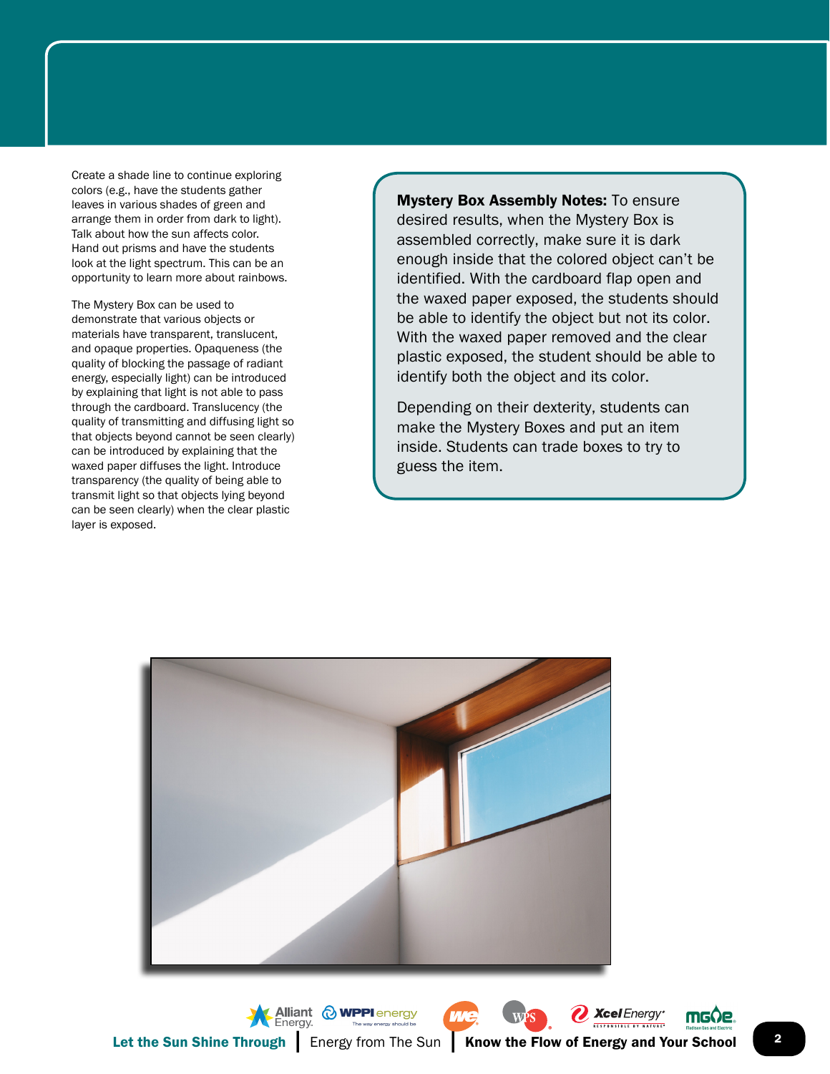Create a shade line to continue exploring colors (e.g., have the students gather leaves in various shades of green and arrange them in order from dark to light). Talk about how the sun affects color. Hand out prisms and have the students look at the light spectrum. This can be an opportunity to learn more about rainbows.

The Mystery Box can be used to demonstrate that various objects or materials have transparent, translucent, and opaque properties. Opaqueness (the quality of blocking the passage of radiant energy, especially light) can be introduced by explaining that light is not able to pass through the cardboard. Translucency (the quality of transmitting and diffusing light so that objects beyond cannot be seen clearly) can be introduced by explaining that the waxed paper diffuses the light. Introduce transparency (the quality of being able to transmit light so that objects lying beyond can be seen clearly) when the clear plastic layer is exposed.

**Mystery Box Assembly Notes: To ensure** desired results, when the Mystery Box is assembled correctly, make sure it is dark enough inside that the colored object can't be identified. With the cardboard flap open and the waxed paper exposed, the students should be able to identify the object but not its color. With the waxed paper removed and the clear plastic exposed, the student should be able to identify both the object and its color.

Depending on their dexterity, students can make the Mystery Boxes and put an item inside. Students can trade boxes to try to guess the item.



Xcel Energy®